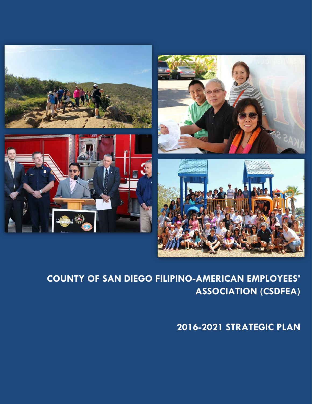

# **COUNTY OF SAN DIEGO FILIPINO-AMERICAN EMPLOYEES' ASSOCIATION (CSDFEA)**

**2016-2021 STRATEGIC PLAN**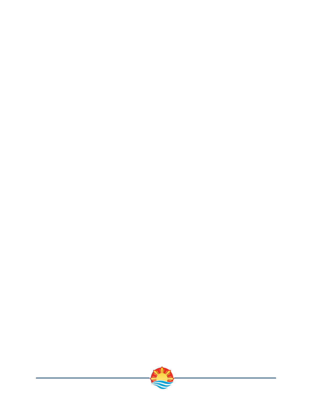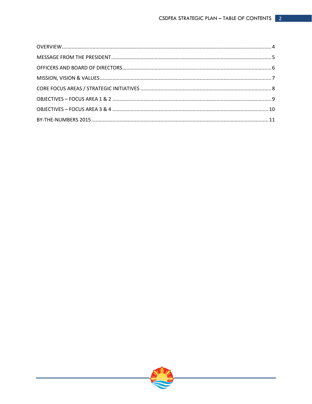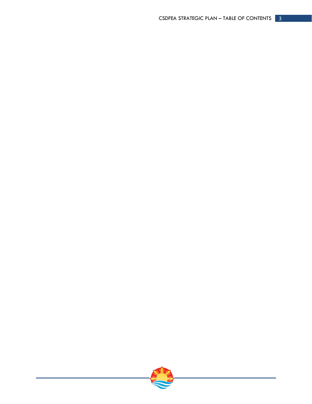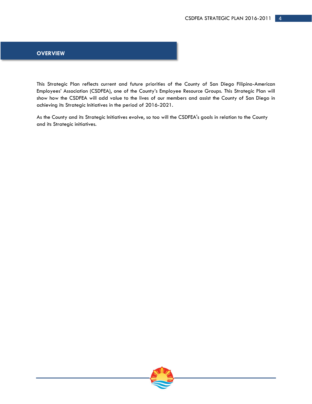# <span id="page-4-0"></span>**OVERVIEW**

This Strategic Plan reflects current and future priorities of the County of San Diego Filipino-American Employees' Association (CSDFEA), one of the County's Employee Resource Groups. This Strategic Plan will show how the CSDFEA will add value to the lives of our members and assist the County of San Diego in achieving its Strategic Initiatives in the period of 2016-2021.

As the County and its Strategic Initiatives evolve, so too will the CSDFEA's goals in relation to the County and its Strategic initiatives.

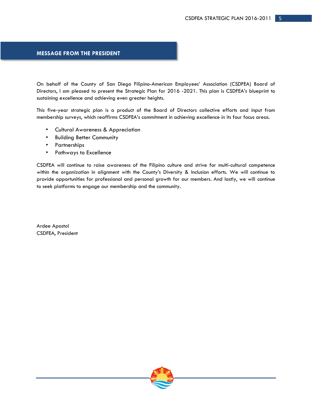### <span id="page-5-0"></span>**MESSAGE FROM THE PRESIDENT**

On behalf of the County of San Diego Filipino-American Employees' Association (CSDFEA) Board of Directors, I am pleased to present the Strategic Plan for 2016 -2021. This plan is CSDFEA's blueprint to sustaining excellence and achieving even greater heights.

This five-year strategic plan is a product of the Board of Directors collective efforts and input from membership surveys, which reaffirms CSDFEA's commitment in achieving excellence in its four focus areas.

- Cultural Awareness & Appreciation
- Building Better Community
- Partnerships
- Pathways to Excellence

CSDFEA will continue to raise awareness of the Filipino culture and strive for multi-cultural competence within the organization in alignment with the County's Diversity & Inclusion efforts. We will continue to provide opportunities for professional and personal growth for our members. And lastly, we will continue to seek platforms to engage our membership and the community.

Ardee Apostol CSDFEA, President

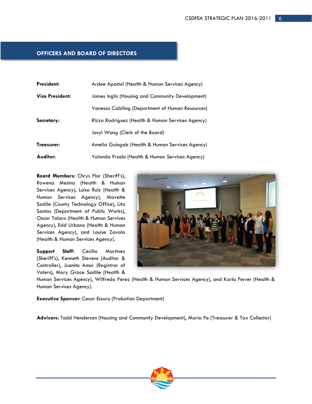# <span id="page-6-0"></span>**OFFICERS AND BOARD OF DIRECTORS**

| <b>President:</b>      | Ardee Apostol (Health & Human Services Agency)   |
|------------------------|--------------------------------------------------|
| <b>Vice President:</b> | James Inglis (Housing and Community Development) |
|                        | Vanessa Cabiling (Department of Human Resources) |
| Secretary:             | Rizza Rodriguez (Health & Human Services Agency) |
|                        | Josyl Wong (Clerk of the Board)                  |
| Treasurer:             | Amelia Guingab (Health & Human Services Agency)  |
| Auditor:               | Yolanda Prado (Health & Human Services Agency)   |

**Board Members:** Chrys Flor (Sheriff's), Rowena Mesina (Health & Human Services Agency), Luisa Ruiz (Health & Human Services Agency), Mavette Sadile (County Technology Office), Lita Santos (Department of Public Works), Oscar Talaro (Health & Human Services Agency), Edd Urbano (Health & Human Services Agency), and Louise Zavala (Health & Human Services Agency).

**Support Staff:** Cecilia Martinez (Sheriff's), Kenneth Stevens (Auditor & Controller), Juanito Amor (Registrar of Voters), Mary Grace Sadile (Health &



Human Services Agency), Wilfredo Perez (Health & Human Services Agency), and Karla Ferrer (Health & Human Services Agency).

**Executive Sponsor:** Cesar Escuro (Probation Department)

**Advisors:** Todd Henderson (Housing and Community Development), Maria Pe (Treasurer & Tax Collector)

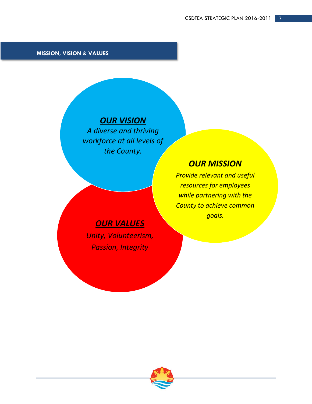# <span id="page-7-0"></span>**MISSION, VISION & VALUES**

# *OUR VISION*

*A diverse and thriving workforce at all levels of the County.* 

# *OUR MISSION*

*Provide relevant and useful resources for employees while partnering with the County to achieve common goals.* 

# *OUR VALUES*

*Unity, Volunteerism, Passion, Integrity*

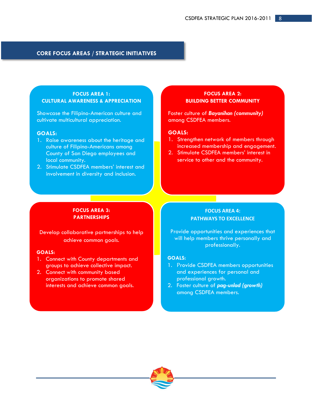# <span id="page-8-0"></span>**CORE FOCUS AREAS / STRATEGIC INITIATIVES**

# **FOCUS AREA 1: CULTURAL AWARENESS & APPRECIATION**

Showcase the Filipino-American culture and cultivate multicultural appreciation.

#### **GOALS:**

- 1. Raise awareness about the heritage and culture of Filipino-Americans among County of San Diego employees and local community.
- 2. Stimulate CSDFEA members' interest and involvement in diversity and inclusion.

#### **FOCUS AREA 2: BUILDING BETTER COMMUNITY**

Foster culture of *Bayanihan (community)* among CSDFEA members.

#### **GOALS:**

- 1. Strengthen network of members through increased membership and engagement.
- 2. Stimulate CSDFEA members' interest in service to other and the community.

### **FOCUS AREA 3: PARTNERSHIPS**

Develop collaborative partnerships to help achieve common goals.

#### **GOALS:**

- 1. Connect with County departments and groups to achieve collective impact.
- 2. Connect with community based organizations to promote shared interests and achieve common goals.

# **FOCUS AREA 4: PATHWAYS TO EXCELLENCE**

Provide opportunities and experiences that will help members thrive personally and professionally.

# **GOALS:**

- 1. Provide CSDFEA members opportunities and experiences for personal and professional growth.
- 2. Foster culture of *pag-unlad (growth)*  among CSDFEA members.

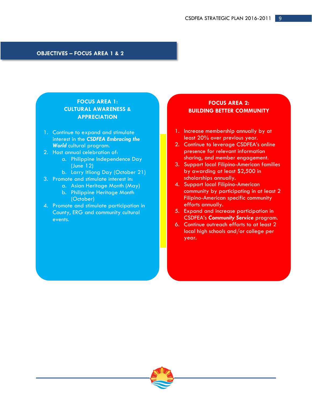# <span id="page-9-0"></span>**OBJECTIVES – FOCUS AREA 1 & 2**

# **FOCUS AREA 1: CULTURAL AWARENESS & APPRECIATION**

- 1. Continue to expand and stimulate interest in the *CSDFEA Embracing the World* cultural program.
- 2. Host annual celebration of:
	- a. Philippine Independence Day (June 12)
	- b. Larry Itliong Day (October 21)
- 3. Promote and stimulate interest in:
	- a. Asian Heritage Month (May)
	- b. Philippine Heritage Month (October)
- 4. Promote and stimulate participation in County, ERG and community cultural events.

### **FOCUS AREA 2: BUILDING BETTER COMMUNITY**

- 1. Increase membership annually by at least 20% over previous year.
- 2. Continue to leverage CSDFEA's online presence for relevant information sharing, and member engagement.
- 3. Support local Filipino-American families by awarding at least \$2,500 in scholarships annually.
- 4. Support local Filipino-American community by participating in at least 2 Filipino-American specific community efforts annually.
- 5. Expand and increase participation in CSDFEA's *Community Service* program.
- 6. Continue outreach efforts to at least 2 local high schools and/or college per year.

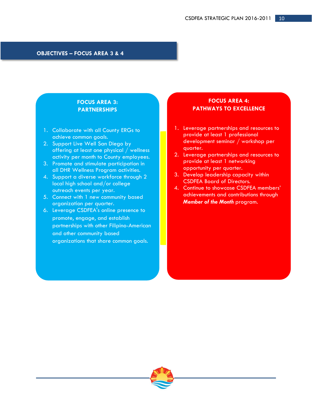# <span id="page-10-0"></span>**OBJECTIVES – FOCUS AREA 3 & 4**

# **FOCUS AREA 3: PARTNERSHIPS**

- 1. Collaborate with all County ERGs to achieve common goals.
- 2. Support Live Well San Diego by offering at least one physical / wellness activity per month to County employees.
- 3. Promote and stimulate participation in all DHR Wellness Program activities.
- 4. Support a diverse workforce through 2 local high school and/or college outreach events per year.
- 5. Connect with 1 new community based organization per quarter.
- 6. Leverage CSDFEA's online presence to promote, engage, and establish partnerships with other Filipino-American and other community based organizations that share common goals.

# **FOCUS AREA 4: PATHWAYS TO EXCELLENCE**

- 1. Leverage partnerships and resources to provide at least 1 professional development seminar / workshop per quarter.
- 2. Leverage partnerships and resources to provide at least 1 networking opportunity per quarter.
- 3. Develop leadership capacity within CSDFEA Board of Directors.
- 4. Continue to showcase CSDFEA members' achievements and contributions through *Member of the Month* program.